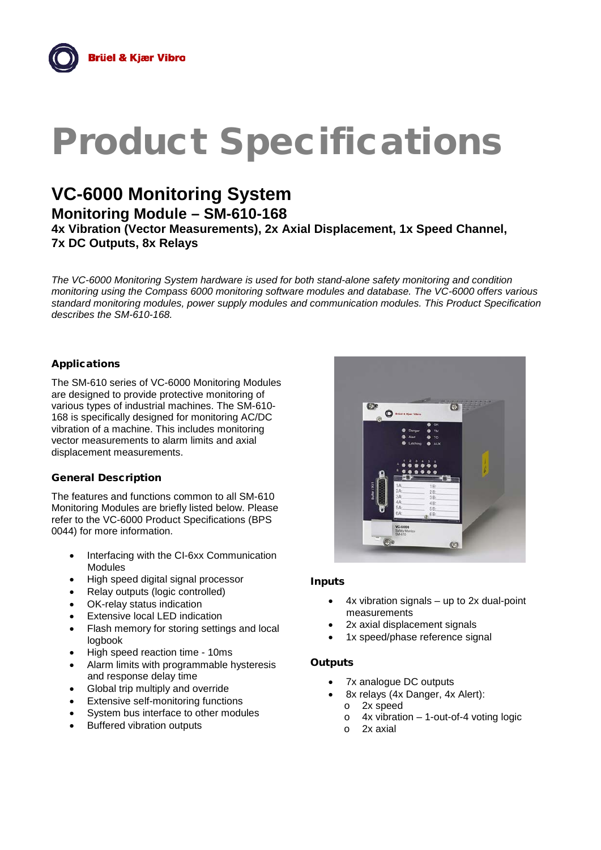# Product Specifications

# **VC-6000 Monitoring System**

**Monitoring Module – SM-610-168**

**4x Vibration (Vector Measurements), 2x Axial Displacement, 1x Speed Channel, 7x DC Outputs, 8x Relays**

*The VC-6000 Monitoring System hardware is used for both stand-alone safety monitoring and condition monitoring using the Compass 6000 monitoring software modules and database. The VC-6000 offers various standard monitoring modules, power supply modules and communication modules. This Product Specification describes the SM-610-168.*

### Applications

The SM-610 series of VC-6000 Monitoring Modules are designed to provide protective monitoring of various types of industrial machines. The SM-610- 168 is specifically designed for monitoring AC/DC vibration of a machine. This includes monitoring vector measurements to alarm limits and axial displacement measurements.

#### General Description

The features and functions common to all SM-610 Monitoring Modules are briefly listed below. Please refer to the VC-6000 Product Specifications (BPS 0044) for more information.

- Interfacing with the CI-6xx Communication Modules
- High speed digital signal processor
- Relay outputs (logic controlled)
- OK-relay status indication
- **Extensive local LED indication**
- Flash memory for storing settings and local logbook
- High speed reaction time 10ms
- Alarm limits with programmable hysteresis and response delay time
- Global trip multiply and override
- **Extensive self-monitoring functions**
- System bus interface to other modules
- Buffered vibration outputs



#### Inputs

- $4x$  vibration signals up to 2x dual-point measurements
- 2x axial displacement signals
- 1x speed/phase reference signal

#### **Outputs**

- 7x analogue DC outputs
- 8x relays (4x Danger, 4x Alert):
	-
	- $\circ$  2x speed<br> $\circ$  4x vibration  $\circ$  4x vibration – 1-out-of-4 voting logic<br> $\circ$  2x axial
	- 2x axial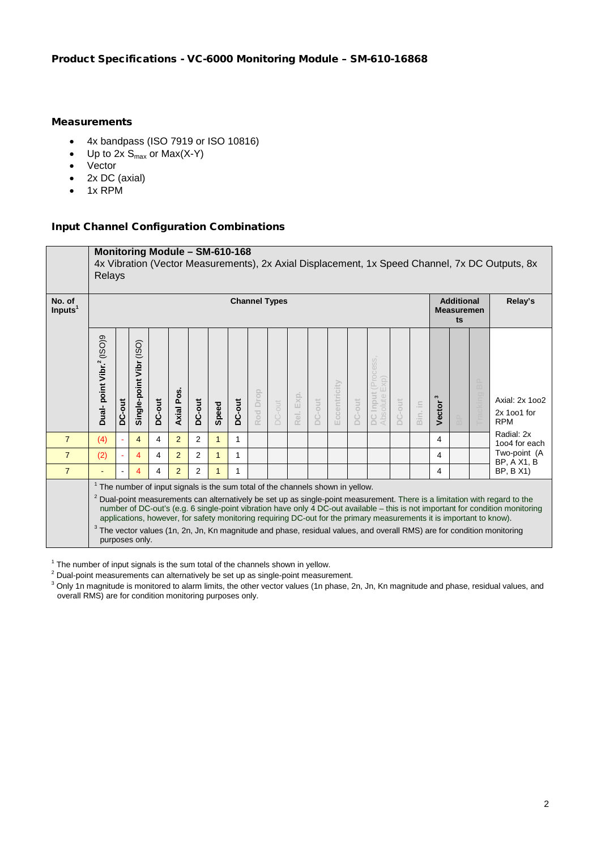#### **Measurements**

- 4x bandpass (ISO 7919 or ISO 10816)
- Up to  $2x S_{max}$  or  $Max(X-Y)$
- Vector
- 2x DC (axial)
- 1x RPM

#### Input Channel Configuration Combinations

|                      |                                      | Monitoring Module - SM-610-168<br>4x Vibration (Vector Measurements), 2x Axial Displacement, 1x Speed Channel, 7x DC Outputs, 8x<br>Relays                                                                                                                                                                                                                                                                                                                                                                                                                                                                                                              |                            |        |                |                |       |        |          |                                              |              |               |              |        |                                 |        |         |             |  |  |                                             |
|----------------------|--------------------------------------|---------------------------------------------------------------------------------------------------------------------------------------------------------------------------------------------------------------------------------------------------------------------------------------------------------------------------------------------------------------------------------------------------------------------------------------------------------------------------------------------------------------------------------------------------------------------------------------------------------------------------------------------------------|----------------------------|--------|----------------|----------------|-------|--------|----------|----------------------------------------------|--------------|---------------|--------------|--------|---------------------------------|--------|---------|-------------|--|--|---------------------------------------------|
| No. of<br>Inputs $1$ | <b>Channel Types</b>                 |                                                                                                                                                                                                                                                                                                                                                                                                                                                                                                                                                                                                                                                         |                            |        |                |                |       |        |          | <b>Additional</b><br><b>Measuremen</b><br>ts |              | Relay's       |              |        |                                 |        |         |             |  |  |                                             |
|                      | Dual-point Vibr. <sup>2</sup> (ISO)9 | DC-out                                                                                                                                                                                                                                                                                                                                                                                                                                                                                                                                                                                                                                                  | (ISO)<br>Single-point Vibr | DC-out | Axial Pos      | DC-out         | Speed | DC-out | Rod Drop | <b>DC-out</b>                                | Exp.<br>Rel. | <b>DC-out</b> | Eccentricity | DC-out | Process<br>DC Input<br>Absolute | DC-out | Bin. in | S<br>Vector |  |  | Axial: 2x 1002<br>2x 1001 for<br><b>RPM</b> |
| $\overline{7}$       | (4)                                  |                                                                                                                                                                                                                                                                                                                                                                                                                                                                                                                                                                                                                                                         | 4                          | 4      | $\overline{2}$ | $\overline{2}$ | 1     | 1      |          |                                              |              |               |              |        |                                 |        |         | 4           |  |  | Radial: 2x<br>1004 for each                 |
| $\overline{7}$       | (2)                                  |                                                                                                                                                                                                                                                                                                                                                                                                                                                                                                                                                                                                                                                         | 4                          | 4      | $\overline{2}$ | $\overline{2}$ | 1     | 1      |          |                                              |              |               |              |        |                                 |        |         | 4           |  |  | Two-point (A<br><b>BP, A X1, B</b>          |
| $\overline{7}$       |                                      |                                                                                                                                                                                                                                                                                                                                                                                                                                                                                                                                                                                                                                                         | 4                          | 4      | $\overline{2}$ | $\overline{2}$ | 1     | 1      |          |                                              |              |               |              |        |                                 |        |         | 4           |  |  | <b>BP, B X1)</b>                            |
|                      |                                      | <sup>1</sup> The number of input signals is the sum total of the channels shown in yellow.<br><sup>2</sup> Dual-point measurements can alternatively be set up as single-point measurement. There is a limitation with regard to the<br>number of DC-out's (e.g. 6 single-point vibration have only 4 DC-out available - this is not important for condition monitoring<br>applications, however, for safety monitoring requiring DC-out for the primary measurements it is important to know).<br><sup>3</sup> The vector values (1n, 2n, Jn, Kn magnitude and phase, residual values, and overall RMS) are for condition monitoring<br>purposes only. |                            |        |                |                |       |        |          |                                              |              |               |              |        |                                 |        |         |             |  |  |                                             |

 $1$  The number of input signals is the sum total of the channels shown in yellow.

<sup>2</sup> Dual-point measurements can alternatively be set up as single-point measurement.

 $^3$  Only 1n magnitude is monitored to alarm limits, the other vector values (1n phase, 2n, Jn, Kn magnitude and phase, residual values, and overall RMS) are for condition monitoring purposes only.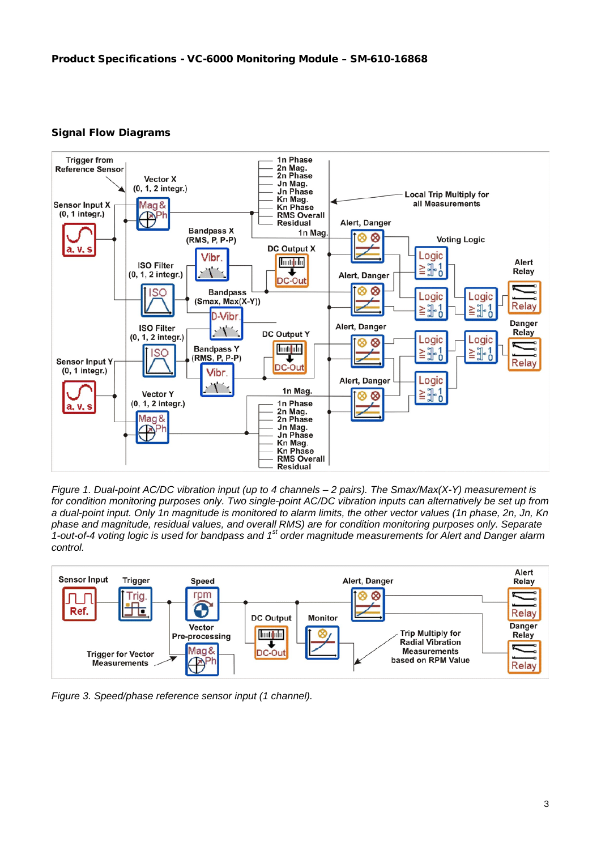#### Signal Flow Diagrams



*Figure 1. Dual-point AC/DC vibration input (up to 4 channels – 2 pairs). The Smax/Max(X-Y) measurement is for condition monitoring purposes only. Two single-point AC/DC vibration inputs can alternatively be set up from a dual-point input. Only 1n magnitude is monitored to alarm limits, the other vector values (1n phase, 2n, Jn, Kn phase and magnitude, residual values, and overall RMS) are for condition monitoring purposes only. Separate 1-out-of-4 voting logic is used for bandpass and 1st order magnitude measurements for Alert and Danger alarm control.* 



*Figure 3. Speed/phase reference sensor input (1 channel).*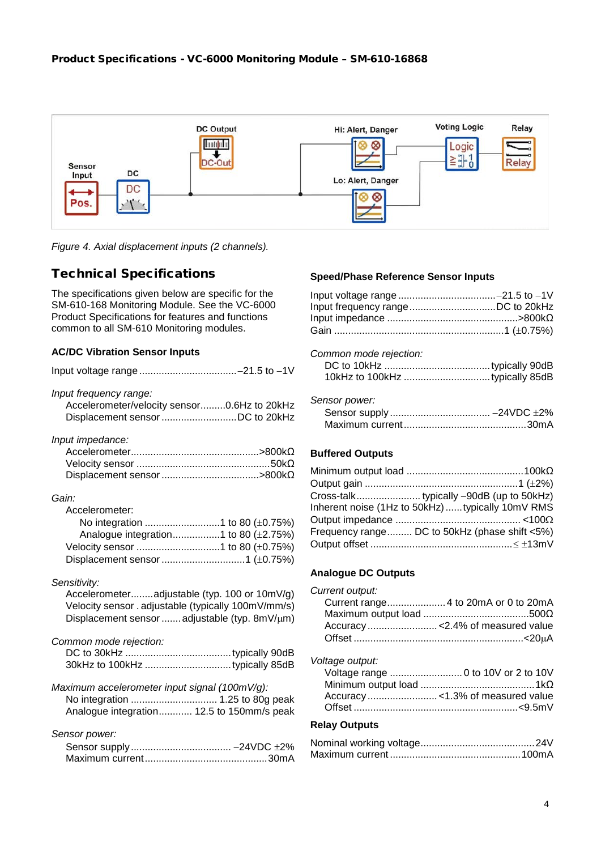

*Figure 4. Axial displacement inputs (2 channels).* 

## Technical Specifications

The specifications given below are specific for the SM-610-168 Monitoring Module. See the VC-6000 Product Specifications for features and functions common to all SM-610 Monitoring modules.

#### **AC/DC Vibration Sensor Inputs**

| Input frequency range:<br>Accelerometer/velocity sensor0.6Hz to 20kHz                                                                                |
|------------------------------------------------------------------------------------------------------------------------------------------------------|
| Input impedance:                                                                                                                                     |
| Gain:                                                                                                                                                |
| Accelerometer:<br>Analogue integration1 to 80 (±2.75%)                                                                                               |
| Sensitivity:                                                                                                                                         |
| Accelerometeradjustable (typ. 100 or 10mV/g)<br>Velocity sensor . adjustable (typically 100mV/mm/s)<br>Displacement sensor  adjustable (typ. 8mV/µm) |
| Common mode rejection:                                                                                                                               |
| Maximum accelerometer input signal (100mV/g):<br>No integration  1.25 to 80g peak<br>Analogue integration 12.5 to 150mm/s peak                       |
| Sensor power:                                                                                                                                        |
|                                                                                                                                                      |

#### **Speed/Phase Reference Sensor Inputs**

#### *Common mode rejection:*

#### *Sensor power:*

#### **Buffered Outputs**

| Inherent noise (1Hz to 50kHz) typically 10mV RMS |
|--------------------------------------------------|
|                                                  |
| Frequency range DC to 50kHz (phase shift <5%)    |
|                                                  |

#### **Analogue DC Outputs**

| Current output: |                                      |
|-----------------|--------------------------------------|
|                 | Current range 4 to 20mA or 0 to 20mA |
|                 |                                      |
|                 |                                      |
|                 |                                      |

#### *Voltage output:*

#### **Relay Outputs**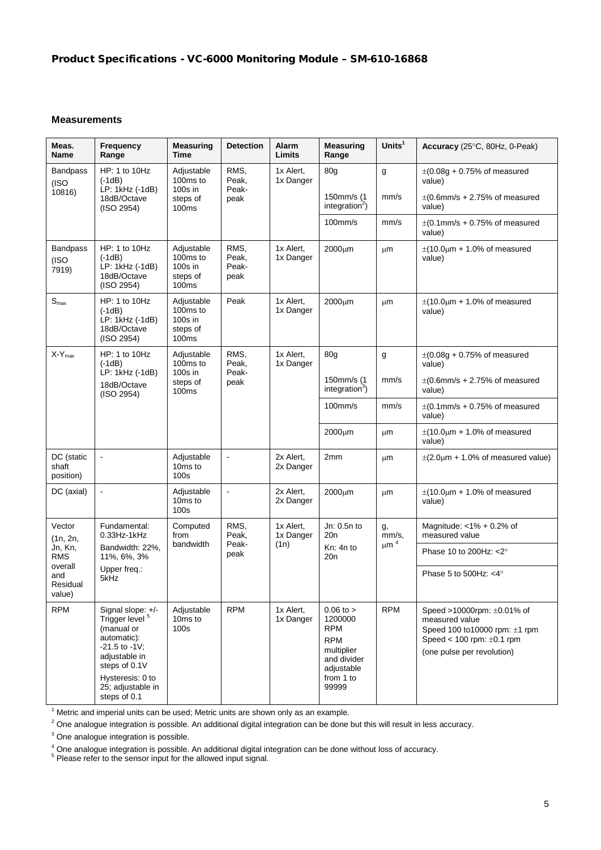#### **Measurements**

| Meas.<br><b>Name</b>               | Frequency<br>Range                                                                                                                                                                            | <b>Measuring</b><br><b>Time</b>                                    | <b>Detection</b>               | Alarm<br>Limits                | <b>Measuring</b><br>Range                                                                                             | Units $1$                       | Accuracy $(25^{\circ}C, 80Hz, 0-Peak)$                                                                                                          |
|------------------------------------|-----------------------------------------------------------------------------------------------------------------------------------------------------------------------------------------------|--------------------------------------------------------------------|--------------------------------|--------------------------------|-----------------------------------------------------------------------------------------------------------------------|---------------------------------|-------------------------------------------------------------------------------------------------------------------------------------------------|
| <b>Bandpass</b><br>(ISO            | HP: 1 to 10Hz<br>$(-1dB)$<br>LP: 1kHz (-1dB)                                                                                                                                                  | Adjustable<br>100ms to<br>$100s$ in                                | RMS,<br>Peak,<br>Peak-         | 1x Alert,<br>1x Danger         | 80 <sub>q</sub>                                                                                                       | g                               | $\pm(0.08g + 0.75\%$ of measured<br>value)                                                                                                      |
| 10816<br>18dB/Octave<br>(ISO 2954) |                                                                                                                                                                                               | steps of<br>100ms                                                  | peak                           |                                | 150mm/s (1<br>integration $\epsilon$ )                                                                                | mm/s                            | $\pm$ (0.6mm/s + 2.75% of measured<br>value)                                                                                                    |
|                                    |                                                                                                                                                                                               |                                                                    |                                |                                | $100$ mm/s                                                                                                            | mm/s                            | $\pm$ (0.1mm/s + 0.75% of measured<br>value)                                                                                                    |
| Bandpass<br>(ISO<br>7919)          | HP: 1 to 10Hz<br>$(-1dB)$<br>LP: 1kHz (-1dB)<br>18dB/Octave<br>(ISO 2954)                                                                                                                     | Adjustable<br>100ms to<br>100s in<br>steps of<br>100 <sub>ms</sub> | RMS,<br>Peak,<br>Peak-<br>peak | 1x Alert,<br>1x Danger         | 2000µm                                                                                                                | μm                              | $\pm$ (10.0 $\mu$ m + 1.0% of measured<br>value)                                                                                                |
| S <sub>max</sub>                   | HP: 1 to 10Hz<br>$(-1dB)$<br>LP: 1kHz (-1dB)<br>18dB/Octave<br>(ISO 2954)                                                                                                                     | Adjustable<br>100ms to<br>100s in<br>steps of<br>100ms             | Peak                           | 1x Alert,<br>1x Danger         | 2000µm                                                                                                                | μm                              | $\pm$ (10.0 $\mu$ m + 1.0% of measured<br>value)                                                                                                |
| $X-Y_{max}$                        | HP: 1 to 10Hz<br>$(-1dB)$                                                                                                                                                                     | Adjustable<br>100ms to<br>$100s$ in                                | RMS,<br>Peak,                  | 1x Alert,<br>1x Danger         | 80 <sub>q</sub>                                                                                                       | g                               | $\pm(0.08g + 0.75\%$ of measured<br>value)                                                                                                      |
|                                    | LP: 1kHz (-1dB)<br>18dB/Octave<br>(ISO 2954)                                                                                                                                                  | steps of<br>100ms                                                  | Peak-<br>peak                  |                                | 150mm/s (1<br>integration $3$ )                                                                                       | mm/s                            | $\pm$ (0.6mm/s + 2.75% of measured<br>value)                                                                                                    |
|                                    |                                                                                                                                                                                               |                                                                    |                                |                                | $100$ mm/s                                                                                                            | mm/s                            | $\pm$ (0.1mm/s + 0.75% of measured<br>value)                                                                                                    |
|                                    |                                                                                                                                                                                               |                                                                    |                                |                                | $2000 \mu m$                                                                                                          | μm                              | $\pm$ (10.0 $\mu$ m + 1.0% of measured<br>value)                                                                                                |
| DC (static<br>shaft<br>position)   | $\overline{\phantom{a}}$                                                                                                                                                                      | Adjustable<br>10 <sub>ms</sub> to<br>100s                          | $\blacksquare$                 | 2x Alert,<br>2x Danger         | 2mm                                                                                                                   | μm                              | $\pm$ (2.0 $\mu$ m + 1.0% of measured value)                                                                                                    |
| DC (axial)                         | $\hat{\mathbf{r}}$                                                                                                                                                                            | Adjustable<br>10 <sub>ms</sub> to<br>100s                          | L.                             | 2x Alert,<br>2x Danger         | $2000 \mu m$                                                                                                          | μm                              | $\pm$ (10.0 $\mu$ m + 1.0% of measured<br>value)                                                                                                |
| Vector<br>(1n, 2n,                 | Fundamental:<br>$0.33$ Hz-1 $k$ Hz                                                                                                                                                            | Computed<br>from                                                   | RMS,<br>Peak,<br>Peak-<br>peak | 1x Alert,<br>1x Danger<br>(1n) | Jn: 0.5n to<br>20n                                                                                                    | g,<br>mm/s,<br>$\upmu$ m $^{4}$ | Magnitude: $<$ 1% + 0.2% of<br>measured value                                                                                                   |
| Jn, Kn,<br><b>RMS</b><br>overall   | Bandwidth: 22%,<br>11%, 6%, 3%                                                                                                                                                                | bandwidth                                                          |                                |                                | Kn: 4n to<br>20n                                                                                                      |                                 | Phase 10 to 200Hz: < 2°                                                                                                                         |
| and<br>Residual<br>value)          | Upper freq.:<br>5kHz                                                                                                                                                                          |                                                                    |                                |                                |                                                                                                                       |                                 | Phase 5 to 500Hz: $<$ 4 $\degree$                                                                                                               |
| <b>RPM</b>                         | Signal slope: +/-<br>Trigger level <sup>5</sup><br>(manual or<br>automatic):<br>$-21.5$ to $-1V$ ;<br>adjustable in<br>steps of 0.1V<br>Hysteresis: 0 to<br>25; adjustable in<br>steps of 0.1 | Adjustable<br>10 <sub>ms</sub> to<br>100s                          | <b>RPM</b>                     | 1x Alert,<br>1x Danger         | $0.06$ to $>$<br>1200000<br><b>RPM</b><br><b>RPM</b><br>multiplier<br>and divider<br>adjustable<br>from 1 to<br>99999 | <b>RPM</b>                      | Speed >10000rpm: ±0.01% of<br>measured value<br>Speed 100 to10000 rpm: ±1 rpm<br>Speed < $100$ rpm: $\pm 0.1$ rpm<br>(one pulse per revolution) |

 $<sup>1</sup>$  Metric and imperial units can be used; Metric units are shown only as an example.</sup>

 $2$  One analogue integration is possible. An additional digital integration can be done but this will result in less accuracy.

<sup>3</sup> One analogue integration is possible.

4 One analogue integration is possible. An additional digital integration can be done without loss of accuracy.<br><sup>5</sup> Please refer to the sensor input for the allowed input signal.